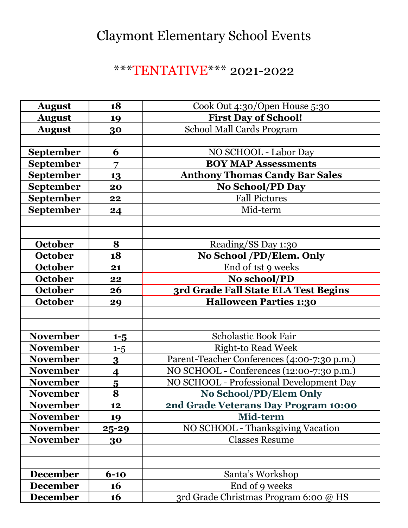# Claymont Elementary School Events

### \*\*\*TENTATIVE\*\*\* 2021-2022

| <b>August</b>    | 18                      | Cook Out 4:30/Open House 5:30               |
|------------------|-------------------------|---------------------------------------------|
| <b>August</b>    | 19                      | <b>First Day of School!</b>                 |
| <b>August</b>    | 30                      | School Mall Cards Program                   |
|                  |                         |                                             |
| <b>September</b> | 6                       | NO SCHOOL - Labor Day                       |
| <b>September</b> | 7                       | <b>BOY MAP Assessments</b>                  |
| <b>September</b> | 13                      | <b>Anthony Thomas Candy Bar Sales</b>       |
| <b>September</b> | 20                      | <b>No School/PD Day</b>                     |
| <b>September</b> | 22                      | <b>Fall Pictures</b>                        |
| September        | 24                      | Mid-term                                    |
|                  |                         |                                             |
|                  |                         |                                             |
| October          | 8                       | Reading/SS Day 1:30                         |
| October          | 18                      | No School /PD/Elem. Only                    |
| <b>October</b>   | 21                      | End of 1st 9 weeks                          |
| October          | 22                      | No school/PD                                |
| October          | 26                      | 3rd Grade Fall State ELA Test Begins        |
| October          | 29                      | <b>Halloween Parties 1:30</b>               |
|                  |                         |                                             |
|                  |                         |                                             |
| <b>November</b>  | $1 - 5$                 | <b>Scholastic Book Fair</b>                 |
| <b>November</b>  | $1 - 5$                 | <b>Right-to Read Week</b>                   |
| <b>November</b>  | $\overline{\mathbf{3}}$ | Parent-Teacher Conferences (4:00-7:30 p.m.) |
| <b>November</b>  | $\overline{\mathbf{4}}$ | NO SCHOOL - Conferences (12:00-7:30 p.m.)   |
| <b>November</b>  | $\overline{\mathbf{5}}$ | NO SCHOOL - Professional Development Day    |
| <b>November</b>  | 8                       | No School/PD/Elem Only                      |
| <b>November</b>  | 12                      | 2nd Grade Veterans Day Program 10:00        |
| <b>November</b>  | 19                      | Mid-term                                    |
| <b>November</b>  | <u>25-29</u>            | <b>NO SCHOOL - Thanksgiving Vacation</b>    |
| <b>November</b>  | 30                      | <b>Classes Resume</b>                       |
|                  |                         |                                             |
|                  |                         |                                             |
| <b>December</b>  | $6 - 10$                | Santa's Workshop                            |
| <b>December</b>  | 16                      | End of 9 weeks                              |
| <b>December</b>  | 16                      | 3rd Grade Christmas Program 6:00 @ HS       |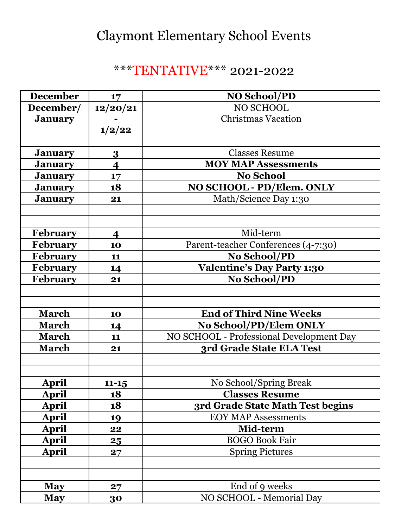# Claymont Elementary School Events

### \*\*\*TENTATIVE\*\*\* 2021-2022

| <b>December</b> | 17                      | <b>NO School/PD</b>                      |
|-----------------|-------------------------|------------------------------------------|
| December/       | 12/20/21                | NO SCHOOL                                |
| <b>January</b>  |                         | <b>Christmas Vacation</b>                |
|                 | 1/2/22                  |                                          |
|                 |                         |                                          |
| <b>January</b>  | 3                       | <b>Classes Resume</b>                    |
| <b>January</b>  | $\overline{\mathbf{4}}$ | <b>MOY MAP Assessments</b>               |
| <b>January</b>  | 17                      | <b>No School</b>                         |
| <b>January</b>  | 18                      | NO SCHOOL - PD/Elem. ONLY                |
| <b>January</b>  | 21                      | Math/Science Day 1:30                    |
|                 |                         |                                          |
|                 |                         |                                          |
| <b>February</b> | $\overline{\mathbf{4}}$ | Mid-term                                 |
| <b>February</b> | 10                      | Parent-teacher Conferences (4-7:30)      |
| <b>February</b> | 11                      | No School/PD                             |
| <b>February</b> | 14                      | <b>Valentine's Day Party 1:30</b>        |
| <b>February</b> | 21                      | <b>No School/PD</b>                      |
|                 |                         |                                          |
|                 |                         |                                          |
| <b>March</b>    | 10                      | <b>End of Third Nine Weeks</b>           |
| <b>March</b>    | 14                      | No School/PD/Elem ONLY                   |
| <b>March</b>    | 11                      | NO SCHOOL - Professional Development Day |
| <b>March</b>    | 21                      | 3rd Grade State ELA Test                 |
|                 |                         |                                          |
|                 |                         |                                          |
| <b>April</b>    | $11 - 15$               | No School/Spring Break                   |
| April           | 18                      | <b>Classes Resume</b>                    |
| <b>April</b>    | 18                      | 3rd Grade State Math Test begins         |
| <b>April</b>    | 19                      | <b>EOY MAP Assessments</b>               |
| April           | 22                      | Mid-term                                 |
| April           | 25                      | <b>BOGO Book Fair</b>                    |
| <b>April</b>    | 27                      | <b>Spring Pictures</b>                   |
|                 |                         |                                          |
|                 |                         |                                          |
| <b>May</b>      | 27                      | End of 9 weeks                           |
| <b>May</b>      | 30                      | NO SCHOOL - Memorial Day                 |